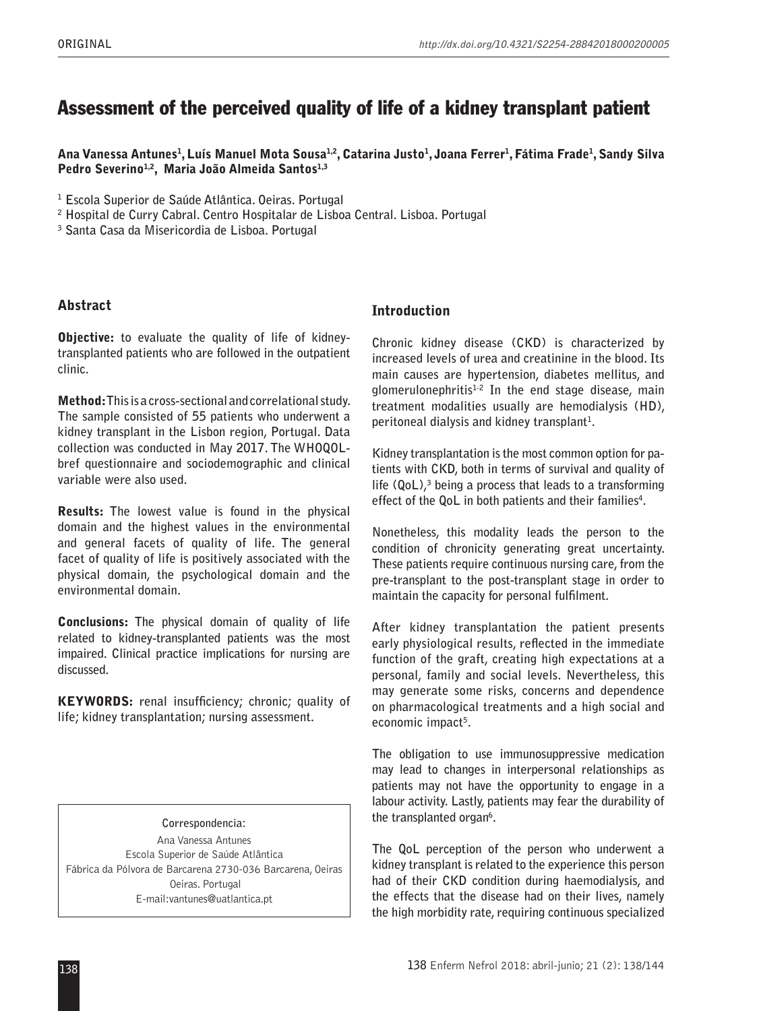# Assessment of the perceived quality of life of a kidney transplant patient

Ana Vanessa Antunes<sup>1</sup>, Luís Manuel Mota Sousa<sup>1,2</sup>, Catarina Justo<sup>1</sup>, Joana Ferrer<sup>1</sup>, Fátima Frade<sup>1</sup>, Sandy Silva Pedro Severino<sup>1,2</sup>, Maria João Almeida Santos<sup>1,3</sup>

**1 Escola Superior de Saúde Atlântica. Oeiras. Portugal**

**2 Hospital de Curry Cabral. Centro Hospitalar de Lisboa Central. Lisboa. Portugal**

**3 Santa Casa da Misericordia de Lisboa. Portugal**

## Abstract

Objective: **to evaluate the quality of life of kidneytransplanted patients who are followed in the outpatient clinic.**

Method: **This is a cross-sectional and correlational study. The sample consisted of 55 patients who underwent a kidney transplant in the Lisbon region, Portugal. Data collection was conducted in May 2017. The WHOQOLbref questionnaire and sociodemographic and clinical variable were also used.** 

Results: **The lowest value is found in the physical domain and the highest values in the environmental and general facets of quality of life. The general facet of quality of life is positively associated with the physical domain, the psychological domain and the environmental domain.** 

Conclusions: **The physical domain of quality of life related to kidney-transplanted patients was the most impaired. Clinical practice implications for nursing are discussed.**

KEYWORDS: **renal insufficiency; chronic; quality of life; kidney transplantation; nursing assessment.**

**Correspondencia:** Ana Vanessa Antunes Escola Superior de Saúde Atlântica Fábrica da Pólvora de Barcarena 2730-036 Barcarena, Oeiras Oeiras. Portugal E-mail:vantunes@uatlantica.pt

# Introduction

**Chronic kidney disease (CKD) is characterized by increased levels of urea and creatinine in the blood. Its main causes are hypertension, diabetes mellitus, and glomerulonephritis1-2 In the end stage disease, main treatment modalities usually are hemodialysis (HD), peritoneal dialysis and kidney transplant1 .**

**Kidney transplantation is the most common option for patients with CKD, both in terms of survival and quality of life (QoL),3 being a process that leads to a transforming effect of the QoL in both patients and their families4 .**

**Nonetheless, this modality leads the person to the condition of chronicity generating great uncertainty. These patients require continuous nursing care, from the pre-transplant to the post-transplant stage in order to maintain the capacity for personal fulfilment.**

**After kidney transplantation the patient presents early physiological results, reflected in the immediate function of the graft, creating high expectations at a personal, family and social levels. Nevertheless, this may generate some risks, concerns and dependence on pharmacological treatments and a high social and economic impact5 .**

**The obligation to use immunosuppressive medication may lead to changes in interpersonal relationships as patients may not have the opportunity to engage in a labour activity. Lastly, patients may fear the durability of**  the transplanted organ<sup>6</sup>.

**The QoL perception of the person who underwent a kidney transplant is related to the experience this person had of their CKD condition during haemodialysis, and the effects that the disease had on their lives, namely the high morbidity rate, requiring continuous specialized**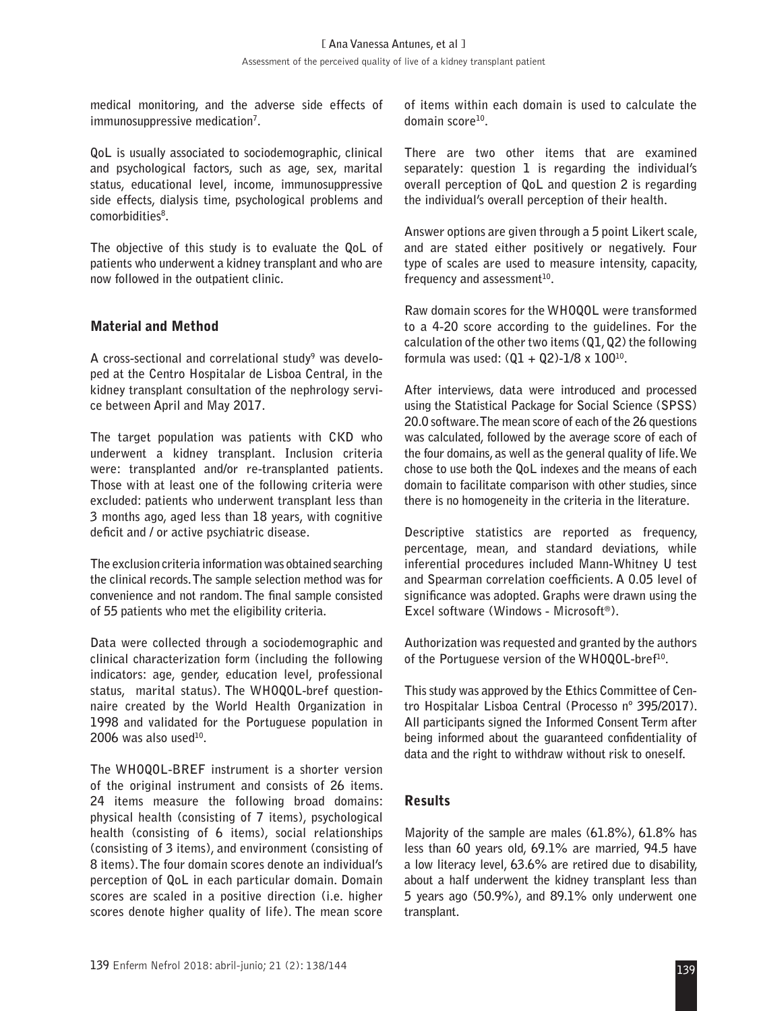**medical monitoring, and the adverse side effects of immunosuppressive medication7 .**

**QoL is usually associated to sociodemographic, clinical and psychological factors, such as age, sex, marital status, educational level, income, immunosuppressive side effects, dialysis time, psychological problems and comorbidities8 .**

**The objective of this study is to evaluate the QoL of patients who underwent a kidney transplant and who are now followed in the outpatient clinic.**

#### Material and Method

**A cross-sectional and correlational study9 was developed at the Centro Hospitalar de Lisboa Central, in the kidney transplant consultation of the nephrology service between April and May 2017.**

**The target population was patients with CKD who underwent a kidney transplant. Inclusion criteria were: transplanted and/or re-transplanted patients. Those with at least one of the following criteria were excluded: patients who underwent transplant less than 3 months ago, aged less than 18 years, with cognitive deficit and / or active psychiatric disease.**

**The exclusion criteria information was obtained searching the clinical records. The sample selection method was for convenience and not random. The final sample consisted of 55 patients who met the eligibility criteria.**

**Data were collected through a sociodemographic and clinical characterization form (including the following indicators: age, gender, education level, professional status, marital status). The WHOQOL-bref questionnaire created by the World Health Organization in 1998 and validated for the Portuguese population in**  2006 was also used<sup>10</sup>.

**The WHOQOL-BREF instrument is a shorter version of the original instrument and consists of 26 items. 24 items measure the following broad domains: physical health (consisting of 7 items), psychological health (consisting of 6 items), social relationships (consisting of 3 items), and environment (consisting of 8 items). The four domain scores denote an individual's perception of QoL in each particular domain. Domain scores are scaled in a positive direction (i.e. higher scores denote higher quality of life). The mean score** 

**of items within each domain is used to calculate the domain score10.**

**There are two other items that are examined separately: question 1 is regarding the individual's overall perception of QoL and question 2 is regarding the individual's overall perception of their health.**

**Answer options are given through a 5 point Likert scale, and are stated either positively or negatively. Four type of scales are used to measure intensity, capacity,**  frequency and assessment<sup>10</sup>.

**Raw domain scores for the WHOQOL were transformed to a 4-20 score according to the guidelines. For the calculation of the other two items (Q1, Q2) the following formula was used: (Q1 + Q2)-1/8 x 10010.**

**After interviews, data were introduced and processed using the Statistical Package for Social Science (SPSS) 20.0 software. The mean score of each of the 26 questions was calculated, followed by the average score of each of the four domains, as well as the general quality of life. We chose to use both the QoL indexes and the means of each domain to facilitate comparison with other studies, since there is no homogeneity in the criteria in the literature.**

**Descriptive statistics are reported as frequency, percentage, mean, and standard deviations, while inferential procedures included Mann-Whitney U test and Spearman correlation coefficients. A 0.05 level of significance was adopted. Graphs were drawn using the Excel software (Windows - Microsoft®).**

**Authorization was requested and granted by the authors of the Portuguese version of the WHOQOL-bref10.**

**This study was approved by the Ethics Committee of Centro Hospitalar Lisboa Central (Processo nº 395/2017). All participants signed the Informed Consent Term after being informed about the guaranteed confidentiality of data and the right to withdraw without risk to oneself.**

#### Results

**Majority of the sample are males (61.8%), 61.8% has less than 60 years old, 69.1% are married, 94.5 have a low literacy level, 63.6% are retired due to disability, about a half underwent the kidney transplant less than 5 years ago (50.9%), and 89.1% only underwent one transplant.**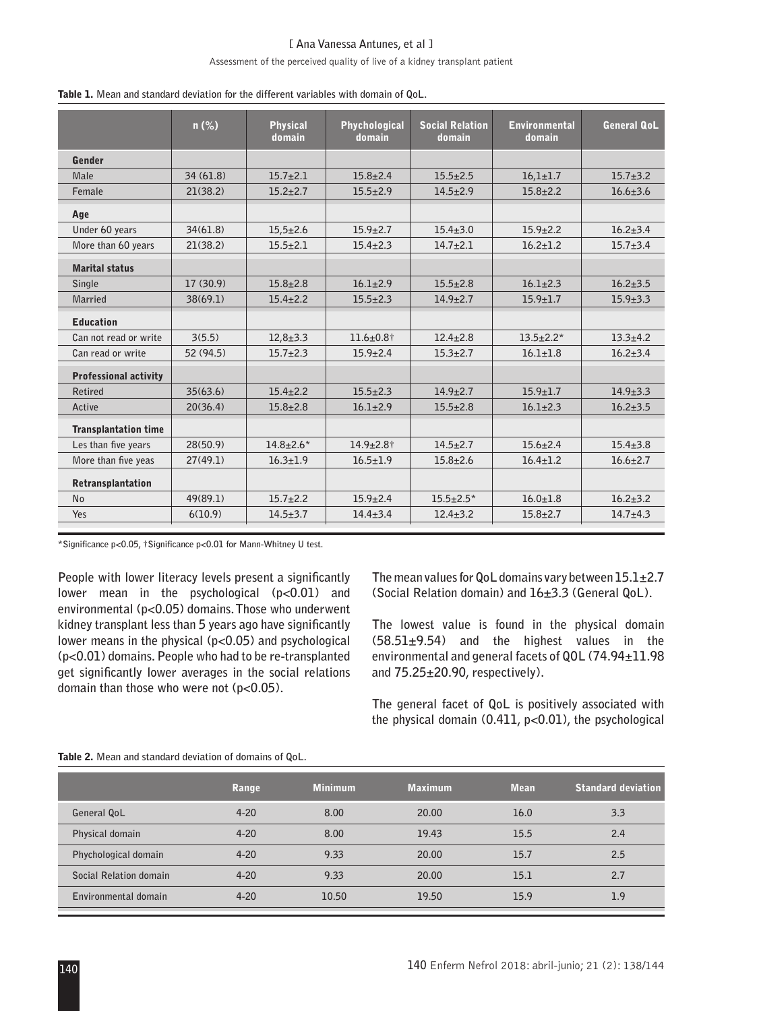#### **[ Ana Vanessa Antunes, et al ]**

#### Assessment of the perceived quality of live of a kidney transplant patient

|                              | $n (\%)$  | <b>Physical</b><br>domain | <b>Phychological</b><br>domain | <b>Social Relation</b><br>domain | <b>Environmental</b><br>domain | <b>General QoL</b> |
|------------------------------|-----------|---------------------------|--------------------------------|----------------------------------|--------------------------------|--------------------|
| Gender                       |           |                           |                                |                                  |                                |                    |
| Male                         | 34(61.8)  | $15.7 + 2.1$              | $15.8 \pm 2.4$                 | $15.5 \pm 2.5$                   | $16,1{\pm}1.7$                 | $15.7 + 3.2$       |
| Female                       | 21(38.2)  | $15.2 + 2.7$              | $15.5 \pm 2.9$                 | $14.5 \pm 2.9$                   | $15.8 \pm 2.2$                 | $16.6 \pm 3.6$     |
| Age                          |           |                           |                                |                                  |                                |                    |
| Under 60 years               | 34(61.8)  | $15,5 \pm 2.6$            | $15.9 + 2.7$                   | $15.4 + 3.0$                     | $15.9 + 2.2$                   | $16.2 + 3.4$       |
| More than 60 years           | 21(38.2)  | $15.5 \pm 2.1$            | $15.4 \pm 2.3$                 | $14.7 + 2.1$                     | $16.2 + 1.2$                   | $15.7 + 3.4$       |
| <b>Marital status</b>        |           |                           |                                |                                  |                                |                    |
| Single                       | 17(30.9)  | $15.8 \pm 2.8$            | $16.1 + 2.9$                   | $15.5 + 2.8$                     | $16.1 + 2.3$                   | $16.2 + 3.5$       |
| Married                      | 38(69.1)  | $15.4 \pm 2.2$            | $15.5 \pm 2.3$                 | $14.9 \pm 2.7$                   | $15.9 \pm 1.7$                 | $15.9 \pm 3.3$     |
| <b>Education</b>             |           |                           |                                |                                  |                                |                    |
| Can not read or write        | 3(5.5)    | $12,8+3.3$                | $11.6 \pm 0.8$ <sup>†</sup>    | $12.4 \pm 2.8$                   | $13.5 \pm 2.2*$                | $13.3 + 4.2$       |
| Can read or write            | 52 (94.5) | $15.7 + 2.3$              | $15.9 \pm 2.4$                 | $15.3 + 2.7$                     | $16.1 + 1.8$                   | $16.2 + 3.4$       |
| <b>Professional activity</b> |           |                           |                                |                                  |                                |                    |
| Retired                      | 35(63.6)  | $15.4 \pm 2.2$            | $15.5 \pm 2.3$                 | $14.9 \pm 2.7$                   | $15.9 \pm 1.7$                 | $14.9 \pm 3.3$     |
| Active                       | 20(36.4)  | $15.8 \pm 2.8$            | $16.1 + 2.9$                   | $15.5 \pm 2.8$                   | $16.1 + 2.3$                   | $16.2 + 3.5$       |
| <b>Transplantation time</b>  |           |                           |                                |                                  |                                |                    |
| Les than five years          | 28(50.9)  | $14.8 \pm 2.6*$           | $14.9 \pm 2.8$ †               | $14.5 \pm 2.7$                   | $15.6 \pm 2.4$                 | $15.4 \pm 3.8$     |
| More than five yeas          | 27(49.1)  | $16.3 \pm 1.9$            | $16.5 \pm 1.9$                 | $15.8 + 2.6$                     | $16.4 \pm 1.2$                 | $16.6 \pm 2.7$     |
| Retransplantation            |           |                           |                                |                                  |                                |                    |
| <b>No</b>                    | 49(89.1)  | $15.7 + 2.2$              | $15.9 \pm 2.4$                 | $15.5 \pm 2.5^*$                 | $16.0 \pm 1.8$                 | $16.2 + 3.2$       |
| Yes                          | 6(10.9)   | $14.5 + 3.7$              | $14.4 + 3.4$                   | $12.4 \pm 3.2$                   | $15.8 \pm 2.7$                 | $14.7 + 4.3$       |

Table 1. **Mean and standard deviation for the different variables with domain of QoL.**

**\*Significance p<0.05, †Significance p<0.01 for Mann-Whitney U test.**

**People with lower literacy levels present a significantly lower mean in the psychological (p<0.01) and environmental (p<0.05) domains. Those who underwent kidney transplant less than 5 years ago have significantly lower means in the physical (p<0.05) and psychological (p<0.01) domains. People who had to be re-transplanted get significantly lower averages in the social relations domain than those who were not (p<0.05).**

**The mean values for QoL domains vary between 15.1±2.7 (Social Relation domain) and 16±3.3 (General QoL).**

**The lowest value is found in the physical domain (58.51±9.54) and the highest values in the environmental and general facets of QOL (74.94±11.98 and 75.25±20.90, respectively).**

**The general facet of QoL is positively associated with the physical domain (0.411, p<0.01), the psychological** 

|                        | Range    | <b>Minimum</b> | <b>Maximum</b> | <b>Mean</b> | Standard deviation' |
|------------------------|----------|----------------|----------------|-------------|---------------------|
| General QoL            | $4 - 20$ | 8.00           | 20.00          | 16.0        | 3.3                 |
| Physical domain        | $4 - 20$ | 8.00           | 19.43          | 15.5        | 2.4                 |
| Phychological domain   | $4 - 20$ | 9.33           | 20.00          | 15.7        | 2.5                 |
| Social Relation domain | $4 - 20$ | 9.33           | 20.00          | 15.1        | 2.7                 |
| Environmental domain   | $4 - 20$ | 10.50          | 19.50          | 15.9        | 1.9                 |

Table 2. **Mean and standard deviation of domains of QoL.**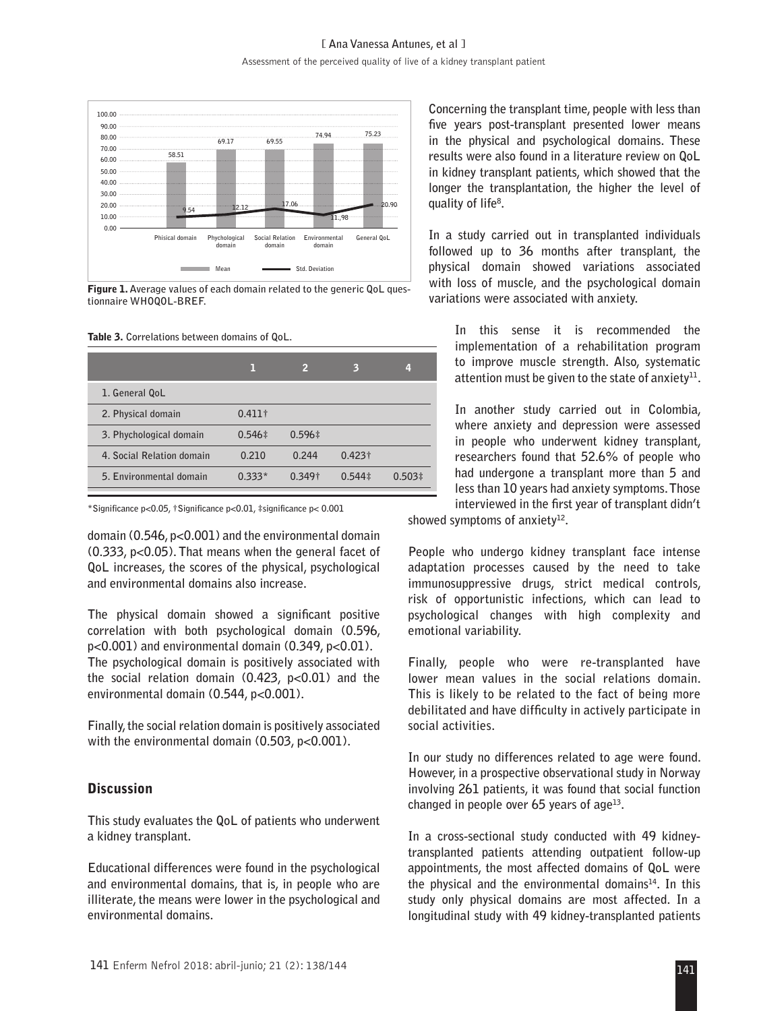

Figure 1. **Average values of each domain related to the generic QoL questionnaire WHOQOL-BREF.**

Table 3. **Correlations between domains of QoL.**

|                           |                | 2           | 3                | 4           |
|---------------------------|----------------|-------------|------------------|-------------|
| 1. General QoL            |                |             |                  |             |
| 2. Physical domain        | $0.411\dagger$ |             |                  |             |
| 3. Phychological domain   | $0.546 \pm$    | $0.596 \pm$ |                  |             |
| 4. Social Relation domain | 0.210          | 0.244       | $0.423\dagger$   |             |
| 5. Environmental domain   | $0.333*$       | $0.349+$    | $0.544 \ddagger$ | $0.503 \pm$ |

**\*Significance p<0.05, †Significance p<0.01, ‡significance p< 0.001**

**domain (0.546, p<0.001) and the environmental domain (0.333, p<0.05). That means when the general facet of QoL increases, the scores of the physical, psychological and environmental domains also increase.**

**The physical domain showed a significant positive correlation with both psychological domain (0.596, p<0.001) and environmental domain (0.349, p<0.01). The psychological domain is positively associated with the social relation domain (0.423, p<0.01) and the environmental domain (0.544, p<0.001).**

**Finally, the social relation domain is positively associated**  with the environmental domain (0.503, p<0.001).

#### **Discussion**

**This study evaluates the QoL of patients who underwent a kidney transplant.**

**Educational differences were found in the psychological and environmental domains, that is, in people who are illiterate, the means were lower in the psychological and environmental domains.**

**Concerning the transplant time, people with less than five years post-transplant presented lower means in the physical and psychological domains. These results were also found in a literature review on QoL in kidney transplant patients, which showed that the longer the transplantation, the higher the level of quality of life8 .**

**In a study carried out in transplanted individuals followed up to 36 months after transplant, the physical domain showed variations associated with loss of muscle, and the psychological domain variations were associated with anxiety.**

**In this sense it is recommended the implementation of a rehabilitation program to improve muscle strength. Also, systematic attention must be given to the state of anxiety11.**

**In another study carried out in Colombia, where anxiety and depression were assessed in people who underwent kidney transplant, researchers found that 52.6% of people who had undergone a transplant more than 5 and less than 10 years had anxiety symptoms. Those interviewed in the first year of transplant didn't** 

showed symptoms of anxiety<sup>12</sup>.

**People who undergo kidney transplant face intense adaptation processes caused by the need to take immunosuppressive drugs, strict medical controls, risk of opportunistic infections, which can lead to psychological changes with high complexity and emotional variability.**

**Finally, people who were re-transplanted have lower mean values in the social relations domain. This is likely to be related to the fact of being more debilitated and have difficulty in actively participate in social activities.**

**In our study no differences related to age were found. However, in a prospective observational study in Norway involving 261 patients, it was found that social function changed in people over 65 years of age13.**

**In a cross-sectional study conducted with 49 kidneytransplanted patients attending outpatient follow-up appointments, the most affected domains of QoL were the physical and the environmental domains14. In this study only physical domains are most affected. In a longitudinal study with 49 kidney-transplanted patients**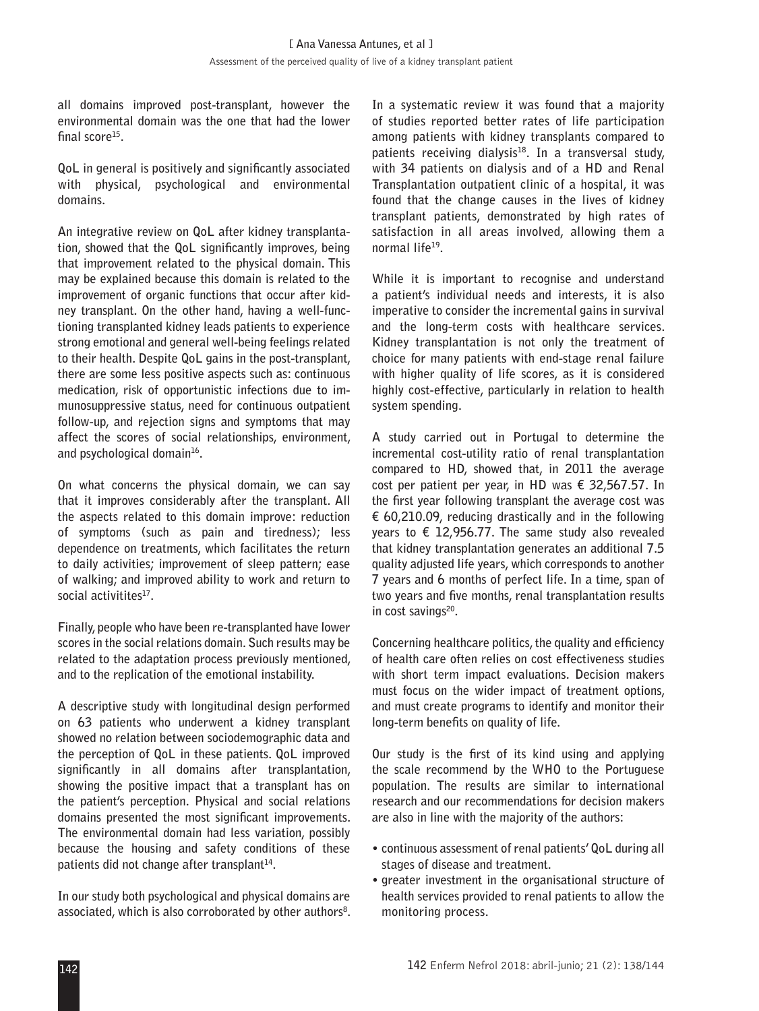**all domains improved post-transplant, however the environmental domain was the one that had the lower final score15.**

**QoL in general is positively and significantly associated with physical, psychological and environmental domains.**

**An integrative review on QoL after kidney transplantation, showed that the QoL significantly improves, being that improvement related to the physical domain. This may be explained because this domain is related to the improvement of organic functions that occur after kidney transplant. On the other hand, having a well-functioning transplanted kidney leads patients to experience strong emotional and general well-being feelings related to their health. Despite QoL gains in the post-transplant, there are some less positive aspects such as: continuous medication, risk of opportunistic infections due to immunosuppressive status, need for continuous outpatient follow-up, and rejection signs and symptoms that may affect the scores of social relationships, environment, and psychological domain16.**

**On what concerns the physical domain, we can say that it improves considerably after the transplant. All the aspects related to this domain improve: reduction of symptoms (such as pain and tiredness); less dependence on treatments, which facilitates the return to daily activities; improvement of sleep pattern; ease of walking; and improved ability to work and return to**  social activitites<sup>17</sup>.

**Finally, people who have been re-transplanted have lower scores in the social relations domain. Such results may be related to the adaptation process previously mentioned, and to the replication of the emotional instability.**

**A descriptive study with longitudinal design performed on 63 patients who underwent a kidney transplant showed no relation between sociodemographic data and the perception of QoL in these patients. QoL improved significantly in all domains after transplantation, showing the positive impact that a transplant has on the patient's perception. Physical and social relations domains presented the most significant improvements. The environmental domain had less variation, possibly because the housing and safety conditions of these**  patients did not change after transplant<sup>14</sup>.

**In our study both psychological and physical domains are associated, which is also corroborated by other authors8 .**  **In a systematic review it was found that a majority of studies reported better rates of life participation among patients with kidney transplants compared to**  patients receiving dialysis<sup>18</sup>. In a transversal study, **with 34 patients on dialysis and of a HD and Renal Transplantation outpatient clinic of a hospital, it was found that the change causes in the lives of kidney transplant patients, demonstrated by high rates of satisfaction in all areas involved, allowing them a normal life19.**

**While it is important to recognise and understand a patient's individual needs and interests, it is also imperative to consider the incremental gains in survival and the long-term costs with healthcare services. Kidney transplantation is not only the treatment of choice for many patients with end-stage renal failure with higher quality of life scores, as it is considered highly cost-effective, particularly in relation to health system spending.**

**A study carried out in Portugal to determine the incremental cost-utility ratio of renal transplantation compared to HD, showed that, in 2011 the average cost per patient per year, in HD was € 32,567.57. In the first year following transplant the average cost was € 60,210.09, reducing drastically and in the following years to € 12,956.77. The same study also revealed that kidney transplantation generates an additional 7.5 quality adjusted life years, which corresponds to another 7 years and 6 months of perfect life. In a time, span of two years and five months, renal transplantation results**  in cost savings<sup>20</sup>.

**Concerning healthcare politics, the quality and efficiency of health care often relies on cost effectiveness studies with short term impact evaluations. Decision makers must focus on the wider impact of treatment options, and must create programs to identify and monitor their long-term benefits on quality of life.**

**Our study is the first of its kind using and applying the scale recommend by the WHO to the Portuguese population. The results are similar to international research and our recommendations for decision makers are also in line with the majority of the authors:** 

- **continuous assessment of renal patients' QoL during all stages of disease and treatment.**
- **greater investment in the organisational structure of health services provided to renal patients to allow the monitoring process.**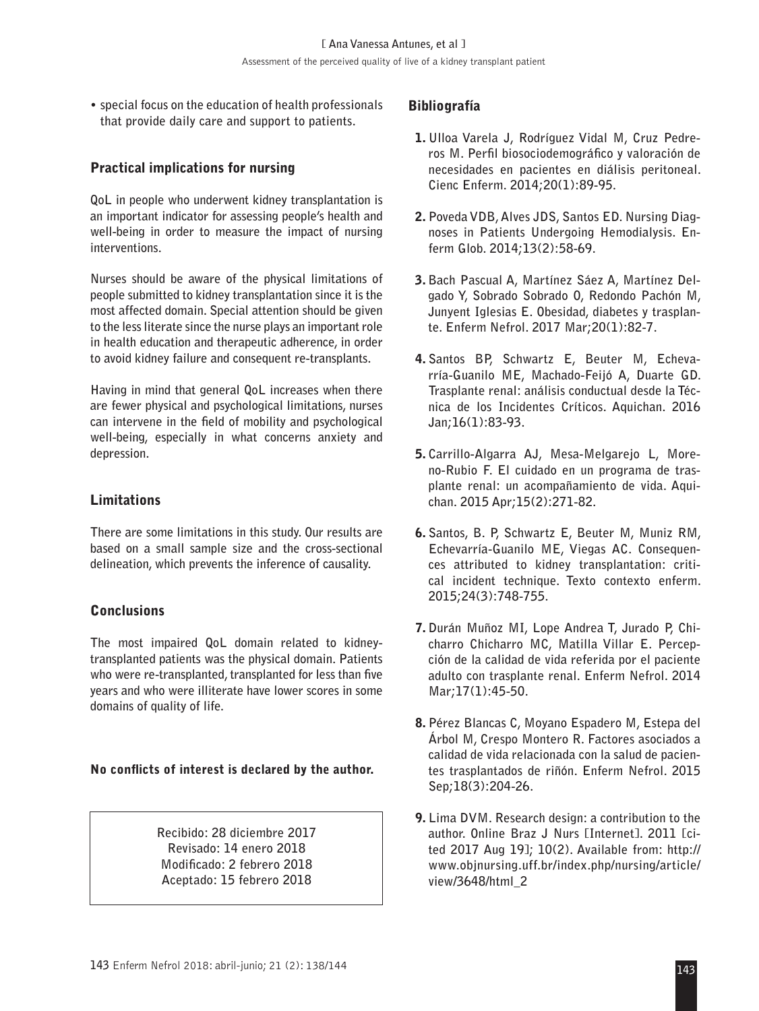**• special focus on the education of health professionals that provide daily care and support to patients.**

## Practical implications for nursing

**QoL in people who underwent kidney transplantation is an important indicator for assessing people's health and well-being in order to measure the impact of nursing interventions.** 

**Nurses should be aware of the physical limitations of people submitted to kidney transplantation since it is the most affected domain. Special attention should be given to the less literate since the nurse plays an important role in health education and therapeutic adherence, in order to avoid kidney failure and consequent re-transplants.**

**Having in mind that general QoL increases when there are fewer physical and psychological limitations, nurses can intervene in the field of mobility and psychological well-being, especially in what concerns anxiety and depression.**

#### Limitations

**There are some limitations in this study. Our results are based on a small sample size and the cross-sectional delineation, which prevents the inference of causality.**

#### Conclusions

**The most impaired QoL domain related to kidneytransplanted patients was the physical domain. Patients who were re-transplanted, transplanted for less than five years and who were illiterate have lower scores in some domains of quality of life.**

#### No conflicts of interest is declared by the author.

**Recibido: 28 diciembre 2017 Revisado: 14 enero 2018 Modificado: 2 febrero 2018 Aceptado: 15 febrero 2018**

#### Bibliografía

- 1. **Ulloa Varela J, Rodríguez Vidal M, Cruz Pedreros M. Perfil biosociodemográfico y valoración de necesidades en pacientes en diálisis peritoneal. Cienc Enferm. 2014;20(1):89-95.**
- 2. **Poveda VDB, Alves JDS, Santos ED. Nursing Diagnoses in Patients Undergoing Hemodialysis. Enferm Glob. 2014;13(2):58-69.**
- 3. **Bach Pascual A, Martínez Sáez A, Martínez Delgado Y, Sobrado Sobrado O, Redondo Pachón M, Junyent Iglesias E. Obesidad, diabetes y trasplante. Enferm Nefrol. 2017 Mar;20(1):82-7.**
- 4. **Santos BP, Schwartz E, Beuter M, Echevarría-Guanilo ME, Machado-Feijó A, Duarte GD. Trasplante renal: análisis conductual desde la Técnica de los Incidentes Críticos. Aquichan. 2016 Jan;16(1):83-93.**
- 5. **Carrillo-Algarra AJ, Mesa-Melgarejo L, Moreno-Rubio F. El cuidado en un programa de trasplante renal: un acompañamiento de vida. Aquichan. 2015 Apr;15(2):271-82.**
- 6. **Santos, B. P, Schwartz E, Beuter M, Muniz RM, Echevarría-Guanilo ME, Viegas AC. Consequences attributed to kidney transplantation: critical incident technique. Texto contexto enferm. 2015;24(3):748-755.**
- 7. **Durán Muñoz MI, Lope Andrea T, Jurado P, Chicharro Chicharro MC, Matilla Villar E. Percepción de la calidad de vida referida por el paciente adulto con trasplante renal. Enferm Nefrol. 2014 Mar;17(1):45-50.**
- 8. **Pérez Blancas C, Moyano Espadero M, Estepa del Árbol M, Crespo Montero R. Factores asociados a calidad de vida relacionada con la salud de pacientes trasplantados de riñón. Enferm Nefrol. 2015 Sep;18(3):204-26.**
- 9. **Lima DVM. Research design: a contribution to the author. Online Braz J Nurs [Internet]. 2011 [cited 2017 Aug 19]; 10(2). Available from: http:// www.objnursing.uff.br/index.php/nursing/article/ view/3648/html\_2**